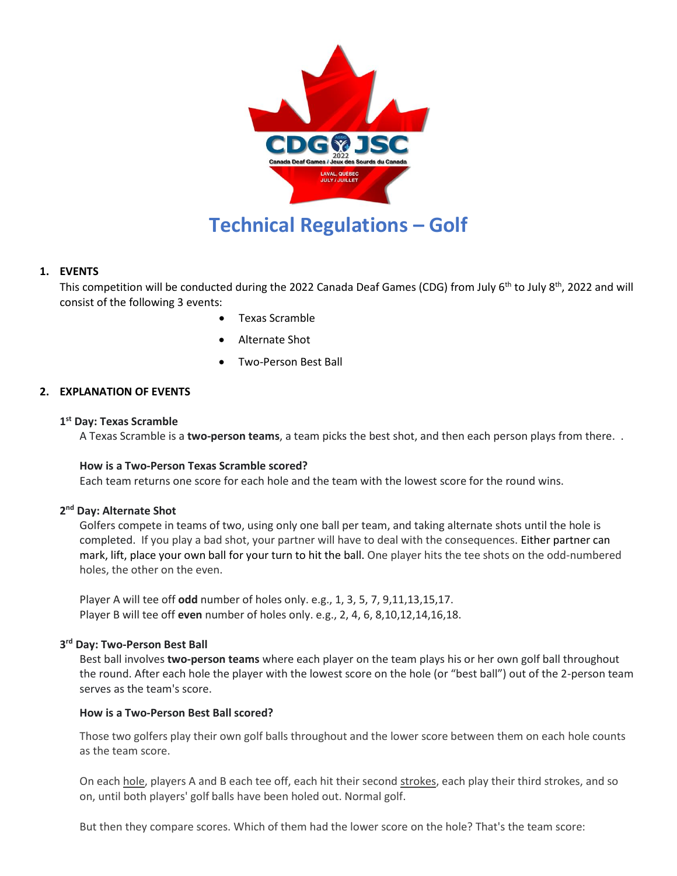

## **1. EVENTS**

This competition will be conducted during the 2022 Canada Deaf Games (CDG) from July 6<sup>th</sup> to July 8<sup>th</sup>, 2022 and will consist of the following 3 events:

- Texas Scramble
- Alternate Shot
- Two-Person Best Ball

## **2. EXPLANATION OF EVENTS**

## **1 st Day: Texas Scramble**

A Texas Scramble is a **two-person teams**, a team picks the best shot, and then each person plays from there. .

#### **How is a Two-Person Texas Scramble scored?**

Each team returns one score for each hole and the team with the lowest score for the round wins.

# **2 nd Day: Alternate Shot**

Golfers compete in teams of two, using only one ball per team, and taking alternate shots until the hole is completed. If you play a bad shot, your partner will have to deal with the consequences. Either partner can mark, lift, place your own ball for your turn to hit the ball. One player hits the tee shots on the odd-numbered holes, the other on the even.

Player A will tee off **odd** number of holes only. e.g., 1, 3, 5, 7, 9,11,13,15,17. Player B will tee off **even** number of holes only. e.g., 2, 4, 6, 8,10,12,14,16,18.

## **3 rd Day: Two-Person Best Ball**

Best ball involves **two-person teams** where each player on the team plays his or her own golf ball throughout the round. After each hole the player with the lowest score on the hole (or "best ball") out of the 2-person team serves as the team's score.

#### **How is a Two-Person Best Ball scored?**

Those two golfers play their own golf balls throughout and the lower score between them on each hole counts as the team score.

On each [hole,](https://www.liveabout.com/different-meanings-of-hole-in-golf-1560880) players A and B each tee off, each hit their second [strokes,](https://www.liveabout.com/what-is-a-stroke-definition-1561404) each play their third strokes, and so on, until both players' golf balls have been holed out. Normal golf.

But then they compare scores. Which of them had the lower score on the hole? That's the team score: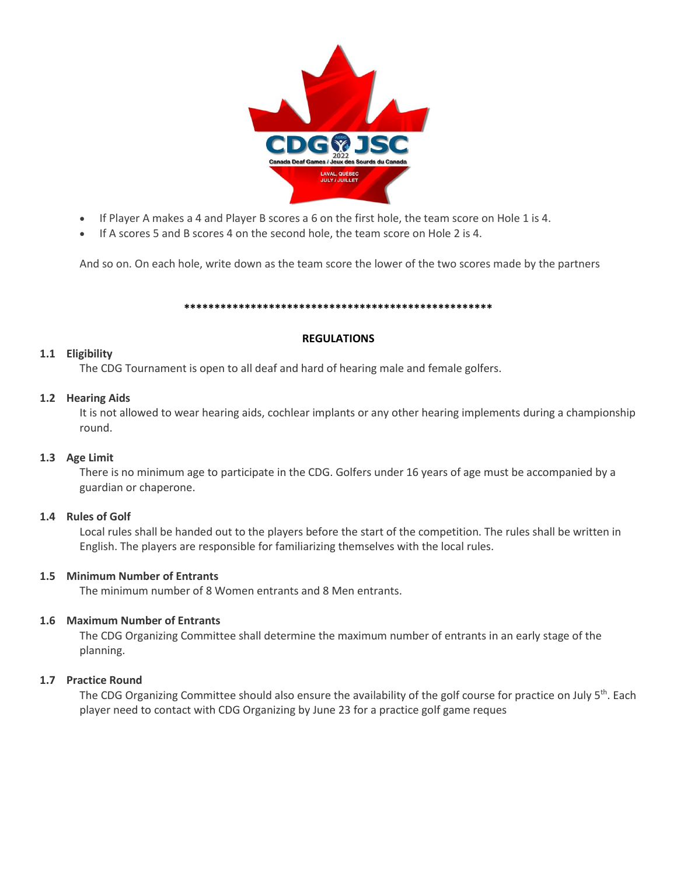

- If Player A makes a 4 and Player B scores a 6 on the first hole, the team score on Hole 1 is 4.
- If A scores 5 and B scores 4 on the second hole, the team score on Hole 2 is 4.

And so on. On each hole, write down as the team score the lower of the two scores made by the partners

#### **\*\*\*\*\*\*\*\*\*\*\*\*\*\*\*\*\*\*\*\*\*\*\*\*\*\*\*\*\*\*\*\*\*\*\*\*\*\*\*\*\*\*\*\*\*\*\*\*\*\*\***

#### **REGULATIONS**

#### **1.1 Eligibility**

The CDG Tournament is open to all deaf and hard of hearing male and female golfers.

#### **1.2 Hearing Aids**

It is not allowed to wear hearing aids, cochlear implants or any other hearing implements during a championship round.

## **1.3 Age Limit**

There is no minimum age to participate in the CDG. Golfers under 16 years of age must be accompanied by a guardian or chaperone.

#### **1.4 Rules of Golf**

Local rules shall be handed out to the players before the start of the competition. The rules shall be written in English. The players are responsible for familiarizing themselves with the local rules.

## **1.5 Minimum Number of Entrants**

The minimum number of 8 Women entrants and 8 Men entrants.

## **1.6 Maximum Number of Entrants**

The CDG Organizing Committee shall determine the maximum number of entrants in an early stage of the planning.

#### **1.7 Practice Round**

The CDG Organizing Committee should also ensure the availability of the golf course for practice on July  $5<sup>th</sup>$ . Each player need to contact with CDG Organizing by June 23 for a practice golf game reques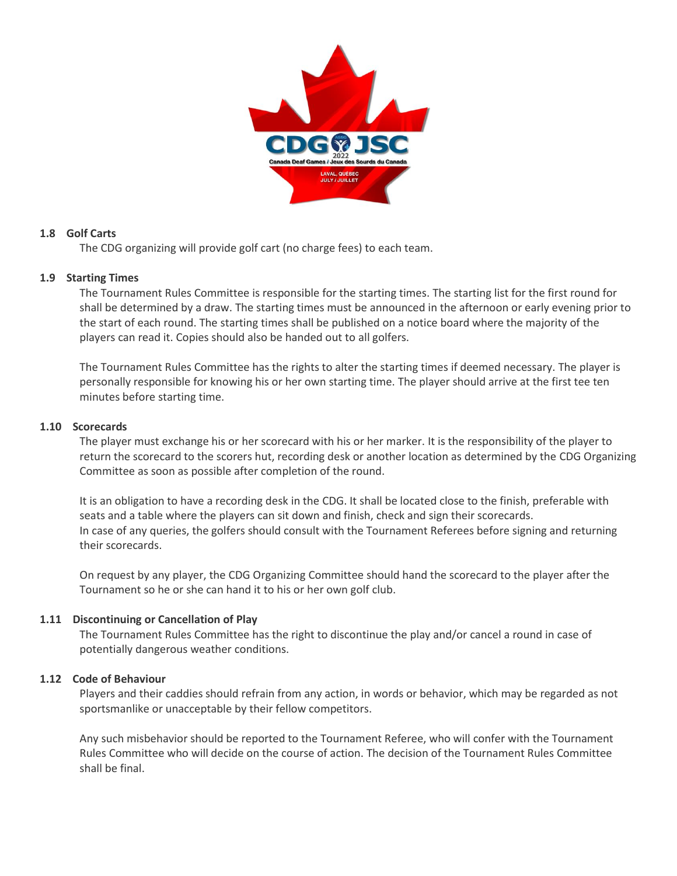

# **1.8 Golf Carts**

The CDG organizing will provide golf cart (no charge fees) to each team.

## **1.9 Starting Times**

The Tournament Rules Committee is responsible for the starting times. The starting list for the first round for shall be determined by a draw. The starting times must be announced in the afternoon or early evening prior to the start of each round. The starting times shall be published on a notice board where the majority of the players can read it. Copies should also be handed out to all golfers.

The Tournament Rules Committee has the rights to alter the starting times if deemed necessary. The player is personally responsible for knowing his or her own starting time. The player should arrive at the first tee ten minutes before starting time.

## **1.10 Scorecards**

The player must exchange his or her scorecard with his or her marker. It is the responsibility of the player to return the scorecard to the scorers hut, recording desk or another location as determined by the CDG Organizing Committee as soon as possible after completion of the round.

It is an obligation to have a recording desk in the CDG. It shall be located close to the finish, preferable with seats and a table where the players can sit down and finish, check and sign their scorecards. In case of any queries, the golfers should consult with the Tournament Referees before signing and returning their scorecards.

On request by any player, the CDG Organizing Committee should hand the scorecard to the player after the Tournament so he or she can hand it to his or her own golf club.

## **1.11 Discontinuing or Cancellation of Play**

The Tournament Rules Committee has the right to discontinue the play and/or cancel a round in case of potentially dangerous weather conditions.

## **1.12 Code of Behaviour**

Players and their caddies should refrain from any action, in words or behavior, which may be regarded as not sportsmanlike or unacceptable by their fellow competitors.

Any such misbehavior should be reported to the Tournament Referee, who will confer with the Tournament Rules Committee who will decide on the course of action. The decision of the Tournament Rules Committee shall be final.